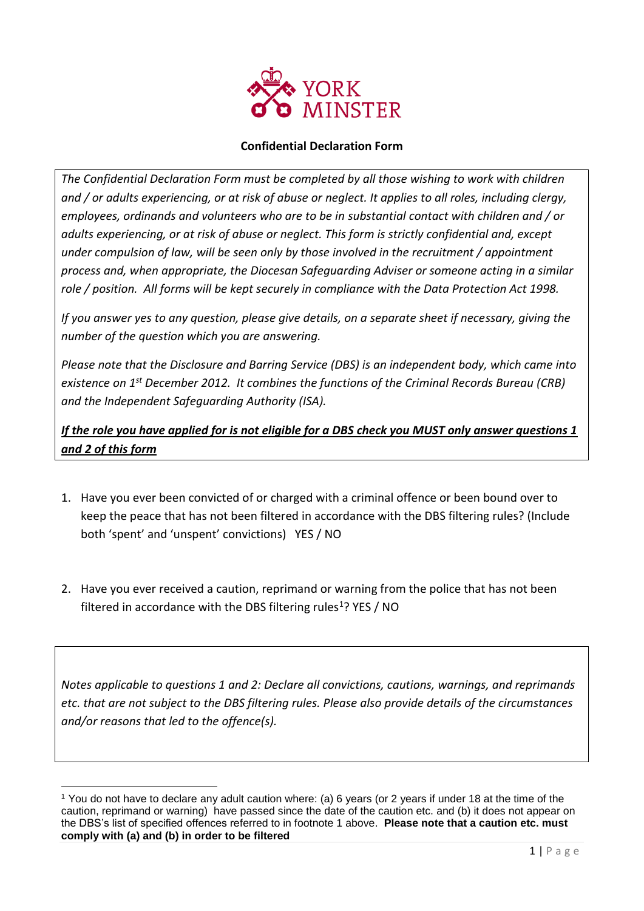

## **Confidential Declaration Form**

*The Confidential Declaration Form must be completed by all those wishing to work with children and / or adults experiencing, or at risk of abuse or neglect. It applies to all roles, including clergy, employees, ordinands and volunteers who are to be in substantial contact with children and / or adults experiencing, or at risk of abuse or neglect. This form is strictly confidential and, except under compulsion of law, will be seen only by those involved in the recruitment / appointment process and, when appropriate, the Diocesan Safeguarding Adviser or someone acting in a similar role / position. All forms will be kept securely in compliance with the Data Protection Act 1998.*

*If you answer yes to any question, please give details, on a separate sheet if necessary, giving the number of the question which you are answering.*

*Please note that the Disclosure and Barring Service (DBS) is an independent body, which came into existence on 1st December 2012. It combines the functions of the Criminal Records Bureau (CRB) and the Independent Safeguarding Authority (ISA).*

*If the role you have applied for is not eligible for a DBS check you MUST only answer questions 1 and 2 of this form*

- 1. Have you ever been convicted of or charged with a criminal offence or been bound over to keep the peace that has not been filtered in accordance with the DBS filtering rules? (Include both 'spent' and 'unspent' convictions) YES / NO
- 2. Have you ever received a caution, reprimand or warning from the police that has not been filtered in accordance with the DBS filtering rules<sup>1</sup>? YES / NO

*Notes applicable to questions 1 and 2: Declare all convictions, cautions, warnings, and reprimands etc. that are not subject to the DBS filtering rules. Please also provide details of the circumstances and/or reasons that led to the offence(s).*

 $\overline{a}$ <sup>1</sup> You do not have to declare any adult caution where: (a) 6 years (or 2 years if under 18 at the time of the caution, reprimand or warning) have passed since the date of the caution etc. and (b) it does not appear on the DBS's list of specified offences referred to in footnote 1 above. **Please note that a caution etc. must comply with (a) and (b) in order to be filtered**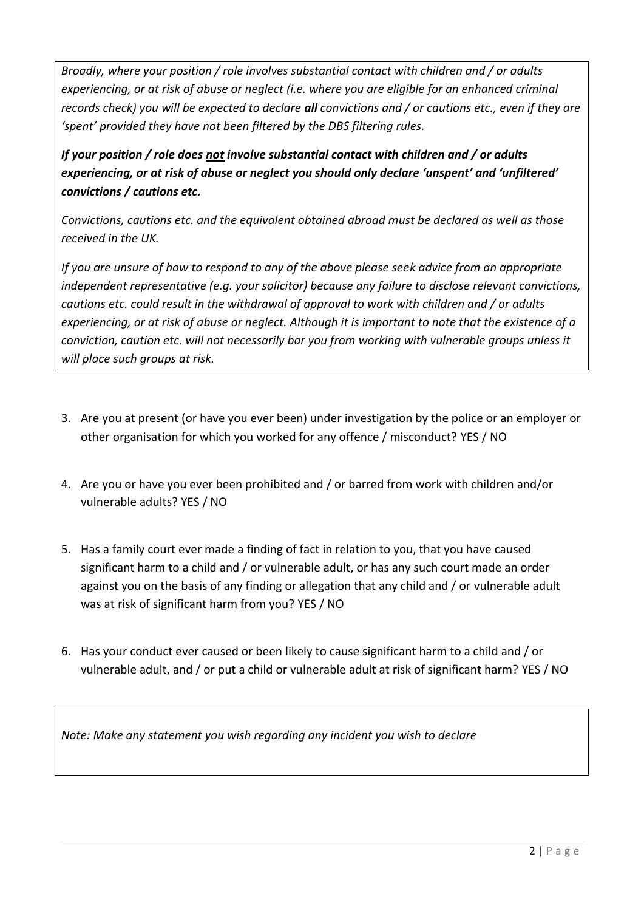*Broadly, where your position / role involves substantial contact with children and / or adults experiencing, or at risk of abuse or neglect (i.e. where you are eligible for an enhanced criminal records check) you will be expected to declare all convictions and / or cautions etc., even if they are 'spent' provided they have not been filtered by the DBS filtering rules.*

*If your position / role does not involve substantial contact with children and / or adults experiencing, or at risk of abuse or neglect you should only declare 'unspent' and 'unfiltered' convictions / cautions etc.*

*Convictions, cautions etc. and the equivalent obtained abroad must be declared as well as those received in the UK.*

*If you are unsure of how to respond to any of the above please seek advice from an appropriate independent representative (e.g. your solicitor) because any failure to disclose relevant convictions, cautions etc. could result in the withdrawal of approval to work with children and / or adults experiencing, or at risk of abuse or neglect. Although it is important to note that the existence of a conviction, caution etc. will not necessarily bar you from working with vulnerable groups unless it will place such groups at risk.*

- 3. Are you at present (or have you ever been) under investigation by the police or an employer or other organisation for which you worked for any offence / misconduct? YES / NO
- 4. Are you or have you ever been prohibited and / or barred from work with children and/or vulnerable adults? YES / NO
- 5. Has a family court ever made a finding of fact in relation to you, that you have caused significant harm to a child and / or vulnerable adult, or has any such court made an order against you on the basis of any finding or allegation that any child and / or vulnerable adult was at risk of significant harm from you? YES / NO
- 6. Has your conduct ever caused or been likely to cause significant harm to a child and / or vulnerable adult, and / or put a child or vulnerable adult at risk of significant harm? YES / NO

*Note: Make any statement you wish regarding any incident you wish to declare*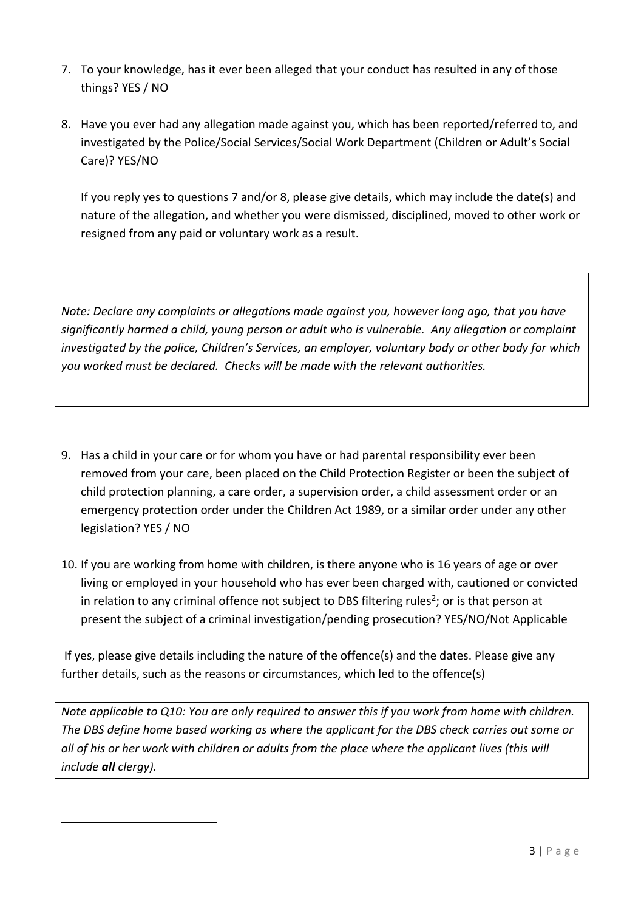- 7. To your knowledge, has it ever been alleged that your conduct has resulted in any of those things? YES / NO
- 8. Have you ever had any allegation made against you, which has been reported/referred to, and investigated by the Police/Social Services/Social Work Department (Children or Adult's Social Care)? YES/NO

If you reply yes to questions 7 and/or 8, please give details, which may include the date(s) and nature of the allegation, and whether you were dismissed, disciplined, moved to other work or resigned from any paid or voluntary work as a result.

*Note: Declare any complaints or allegations made against you, however long ago, that you have significantly harmed a child, young person or adult who is vulnerable. Any allegation or complaint investigated by the police, Children's Services, an employer, voluntary body or other body for which you worked must be declared. Checks will be made with the relevant authorities.*

- 9. Has a child in your care or for whom you have or had parental responsibility ever been removed from your care, been placed on the Child Protection Register or been the subject of child protection planning, a care order, a supervision order, a child assessment order or an emergency protection order under the Children Act 1989, or a similar order under any other legislation? YES / NO
- 10. If you are working from home with children, is there anyone who is 16 years of age or over living or employed in your household who has ever been charged with, cautioned or convicted in relation to any criminal offence not subject to DBS filtering rules<sup>2</sup>; or is that person at present the subject of a criminal investigation/pending prosecution? YES/NO/Not Applicable

If yes, please give details including the nature of the offence(s) and the dates. Please give any further details, such as the reasons or circumstances, which led to the offence(s)

*Note applicable to Q10: You are only required to answer this if you work from home with children. The DBS define home based working as where the applicant for the DBS check carries out some or all of his or her work with children or adults from the place where the applicant lives (this will include all clergy).* 

 $\overline{a}$